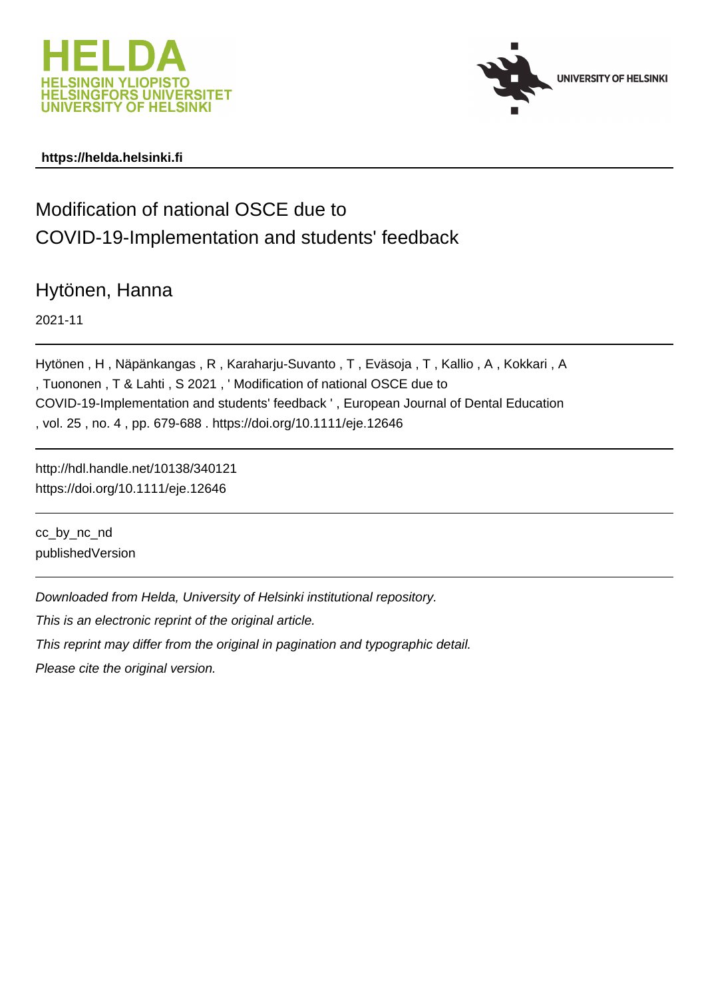



### **https://helda.helsinki.fi**

# Modification of national OSCE due to COVID-19-Implementation and students' feedback

## Hytönen, Hanna

2021-11

Hytönen , H , Näpänkangas , R , Karaharju-Suvanto , T , Eväsoja , T , Kallio , A , Kokkari , A , Tuononen , T & Lahti , S 2021 , ' Modification of national OSCE due to COVID-19-Implementation and students' feedback ' , European Journal of Dental Education , vol. 25 , no. 4 , pp. 679-688 . https://doi.org/10.1111/eje.12646

http://hdl.handle.net/10138/340121 https://doi.org/10.1111/eje.12646

cc\_by\_nc\_nd publishedVersion

Downloaded from Helda, University of Helsinki institutional repository.

This is an electronic reprint of the original article.

This reprint may differ from the original in pagination and typographic detail.

Please cite the original version.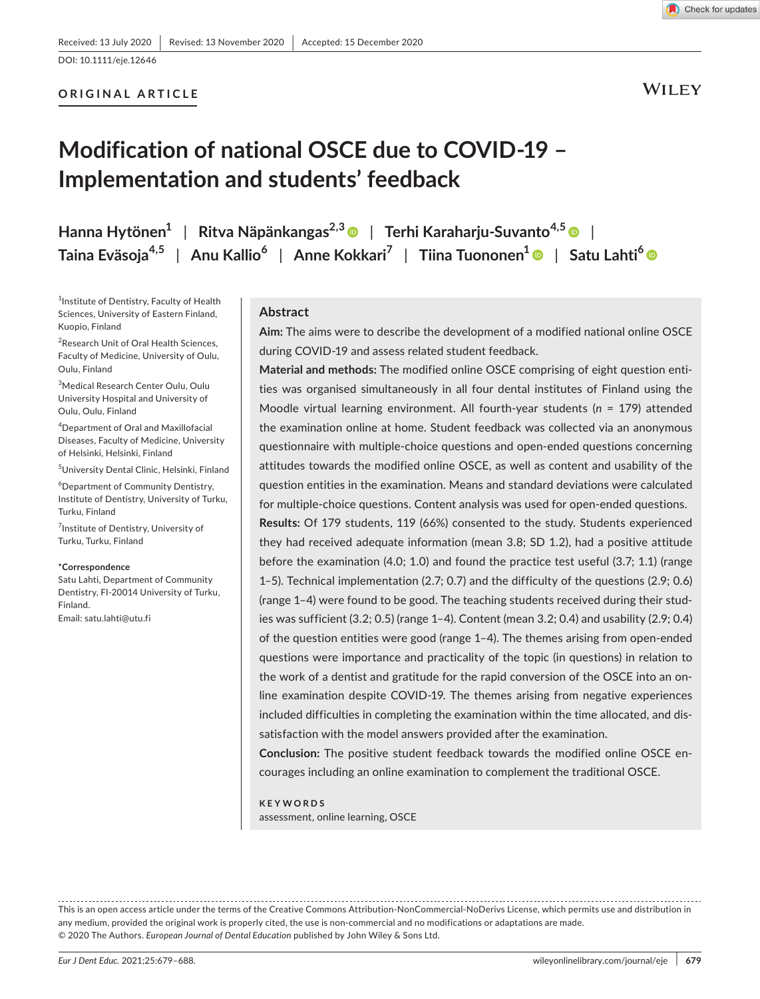#### **ORIGINAL ARTICLE**

**WILEY** 

# **Modification of national OSCE due to COVID-19 – Implementation and students' feedback**

**Hanna Hytönen1** | **Ritva Näpänkangas2,[3](https://orcid.org/0000-0001-9177-3399)** | **Terhi Karaharju-Suvanto4,[5](https://orcid.org/0000-0003-1228-6862)** | **Taina Eväsoja4,5** | **Anu Kallio<sup>6</sup>** | **Anne Kokkari<sup>7</sup>** | **Tiina Tuononen[1](https://orcid.org/0000-0001-6589-1498)** | **Satu Lahti<sup>6</sup>**

<sup>1</sup>Institute of Dentistry, Faculty of Health Sciences, University of Eastern Finland, Kuopio, Finland

<sup>2</sup> Research Unit of Oral Health Sciences, Faculty of Medicine, University of Oulu, Oulu, Finland

3 Medical Research Center Oulu, Oulu University Hospital and University of Oulu, Oulu, Finland

4 Department of Oral and Maxillofacial Diseases, Faculty of Medicine, University of Helsinki, Helsinki, Finland

5 University Dental Clinic, Helsinki, Finland

6 Department of Community Dentistry, Institute of Dentistry, University of Turku, Turku, Finland

<sup>7</sup>Institute of Dentistry, University of Turku, Turku, Finland

#### **\*Correspondence**

Satu Lahti, Department of Community Dentistry, FI-20014 University of Turku, Finland. Email: [satu.lahti@utu.fi](mailto:satu.lahti@utu.fi)

#### **Abstract**

**Aim:** The aims were to describe the development of a modified national online OSCE during COVID-19 and assess related student feedback.

**Material and methods:** The modified online OSCE comprising of eight question entities was organised simultaneously in all four dental institutes of Finland using the Moodle virtual learning environment. All fourth-year students (*n* = 179) attended the examination online at home. Student feedback was collected via an anonymous questionnaire with multiple-choice questions and open-ended questions concerning attitudes towards the modified online OSCE, as well as content and usability of the question entities in the examination. Means and standard deviations were calculated for multiple-choice questions. Content analysis was used for open-ended questions.

**Results:** Of 179 students, 119 (66%) consented to the study. Students experienced they had received adequate information (mean 3.8; SD 1.2), had a positive attitude before the examination (4.0; 1.0) and found the practice test useful (3.7; 1.1) (range 1–5). Technical implementation (2.7; 0.7) and the difficulty of the questions (2.9; 0.6) (range 1–4) were found to be good. The teaching students received during their studies was sufficient (3.2; 0.5) (range 1–4). Content (mean 3.2; 0.4) and usability (2.9; 0.4) of the question entities were good (range 1–4). The themes arising from open-ended questions were importance and practicality of the topic (in questions) in relation to the work of a dentist and gratitude for the rapid conversion of the OSCE into an online examination despite COVID-19. The themes arising from negative experiences included difficulties in completing the examination within the time allocated, and dissatisfaction with the model answers provided after the examination.

**Conclusion:** The positive student feedback towards the modified online OSCE encourages including an online examination to complement the traditional OSCE.

#### **KEYWORDS**

assessment, online learning, OSCE

This is an open access article under the terms of the [Creative Commons Attribution-NonCommercial-NoDerivs](http://creativecommons.org/licenses/by-nc-nd/4.0/) License, which permits use and distribution in any medium, provided the original work is properly cited, the use is non-commercial and no modifications or adaptations are made. © 2020 The Authors. *European Journal of Dental Education* published by John Wiley & Sons Ltd.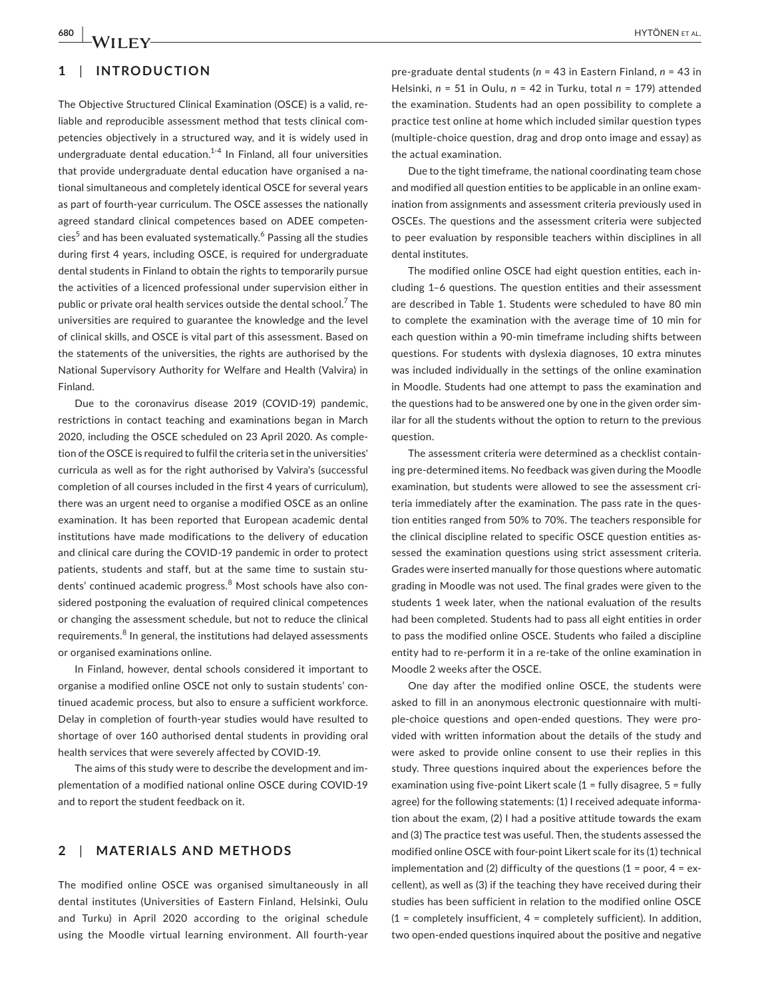#### **1**  | **INTRODUCTION**

The Objective Structured Clinical Examination (OSCE) is a valid, reliable and reproducible assessment method that tests clinical competencies objectively in a structured way, and it is widely used in undergraduate dental education. $1 - 4$  In Finland, all four universities that provide undergraduate dental education have organised a national simultaneous and completely identical OSCE for several years as part of fourth-year curriculum. The OSCE assesses the nationally agreed standard clinical competences based on ADEE competen- $\mathrm{cies}^5$  and has been evaluated systematically. $^6$  Passing all the studies during first 4 years, including OSCE, is required for undergraduate dental students in Finland to obtain the rights to temporarily pursue the activities of a licenced professional under supervision either in public or private oral health services outside the dental school.<sup>7</sup> The universities are required to guarantee the knowledge and the level of clinical skills, and OSCE is vital part of this assessment. Based on the statements of the universities, the rights are authorised by the National Supervisory Authority for Welfare and Health (Valvira) in Finland.

Due to the coronavirus disease 2019 (COVID-19) pandemic, restrictions in contact teaching and examinations began in March 2020, including the OSCE scheduled on 23 April 2020. As completion of the OSCE is required to fulfil the criteria set in the universities' curricula as well as for the right authorised by Valvira's (successful completion of all courses included in the first 4 years of curriculum), there was an urgent need to organise a modified OSCE as an online examination. It has been reported that European academic dental institutions have made modifications to the delivery of education and clinical care during the COVID-19 pandemic in order to protect patients, students and staff, but at the same time to sustain students' continued academic progress.<sup>8</sup> Most schools have also considered postponing the evaluation of required clinical competences or changing the assessment schedule, but not to reduce the clinical requirements.<sup>8</sup> In general, the institutions had delayed assessments or organised examinations online.

In Finland, however, dental schools considered it important to organise a modified online OSCE not only to sustain students' continued academic process, but also to ensure a sufficient workforce. Delay in completion of fourth-year studies would have resulted to shortage of over 160 authorised dental students in providing oral health services that were severely affected by COVID-19.

The aims of this study were to describe the development and implementation of a modified national online OSCE during COVID-19 and to report the student feedback on it.

#### **2**  | **MATERIALS AND METHODS**

The modified online OSCE was organised simultaneously in all dental institutes (Universities of Eastern Finland, Helsinki, Oulu and Turku) in April 2020 according to the original schedule using the Moodle virtual learning environment. All fourth-year

pre-graduate dental students (*n* = 43 in Eastern Finland, *n* = 43 in Helsinki, *n* = 51 in Oulu, *n* = 42 in Turku, total *n* = 179) attended the examination. Students had an open possibility to complete a practice test online at home which included similar question types (multiple-choice question, drag and drop onto image and essay) as the actual examination.

Due to the tight timeframe, the national coordinating team chose and modified all question entities to be applicable in an online examination from assignments and assessment criteria previously used in OSCEs. The questions and the assessment criteria were subjected to peer evaluation by responsible teachers within disciplines in all dental institutes.

The modified online OSCE had eight question entities, each including 1–6 questions. The question entities and their assessment are described in Table 1. Students were scheduled to have 80 min to complete the examination with the average time of 10 min for each question within a 90-min timeframe including shifts between questions. For students with dyslexia diagnoses, 10 extra minutes was included individually in the settings of the online examination in Moodle. Students had one attempt to pass the examination and the questions had to be answered one by one in the given order similar for all the students without the option to return to the previous question.

The assessment criteria were determined as a checklist containing pre-determined items. No feedback was given during the Moodle examination, but students were allowed to see the assessment criteria immediately after the examination. The pass rate in the question entities ranged from 50% to 70%. The teachers responsible for the clinical discipline related to specific OSCE question entities assessed the examination questions using strict assessment criteria. Grades were inserted manually for those questions where automatic grading in Moodle was not used. The final grades were given to the students 1 week later, when the national evaluation of the results had been completed. Students had to pass all eight entities in order to pass the modified online OSCE. Students who failed a discipline entity had to re-perform it in a re-take of the online examination in Moodle 2 weeks after the OSCE.

One day after the modified online OSCE, the students were asked to fill in an anonymous electronic questionnaire with multiple-choice questions and open-ended questions. They were provided with written information about the details of the study and were asked to provide online consent to use their replies in this study. Three questions inquired about the experiences before the examination using five-point Likert scale  $(1 -$  fully disagree,  $5 -$  fully agree) for the following statements: (1) I received adequate information about the exam, (2) I had a positive attitude towards the exam and (3) The practice test was useful. Then, the students assessed the modified online OSCE with four-point Likert scale for its (1) technical implementation and (2) difficulty of the questions (1 = poor,  $4 = ex$ cellent), as well as (3) if the teaching they have received during their studies has been sufficient in relation to the modified online OSCE  $(1 =$  completely insufficient,  $4 =$  completely sufficient). In addition, two open-ended questions inquired about the positive and negative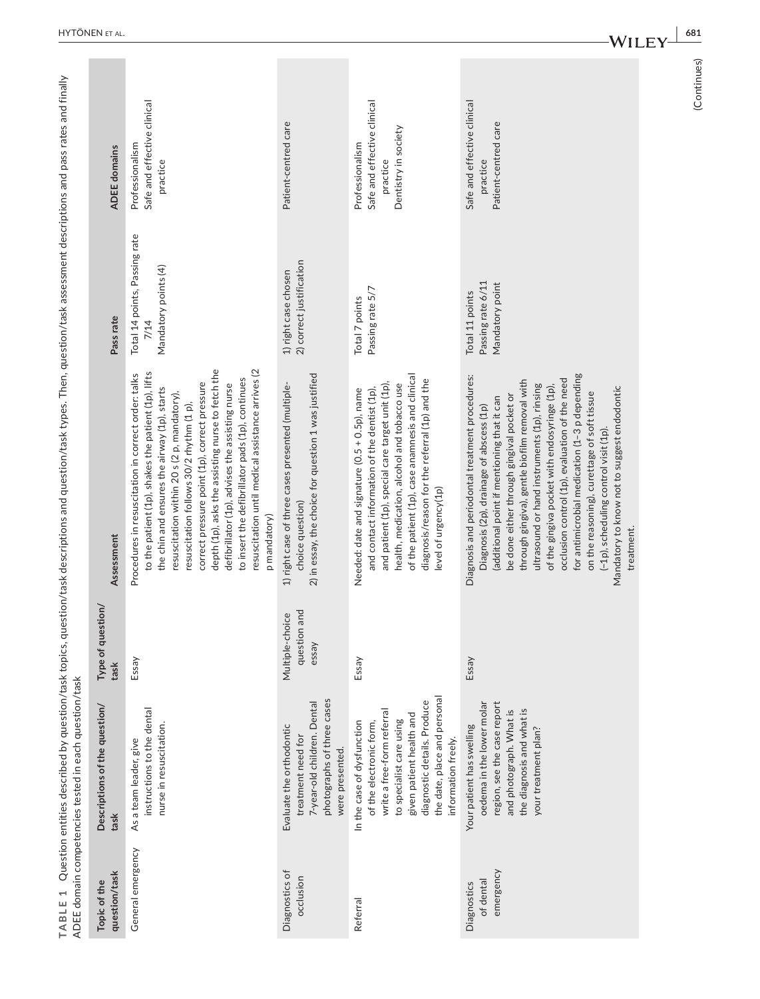| TABLE 1                               | ADEE domain competencies tested in each question/task                                                                                                                                                                             |                                          | Question entities described by question/task topics, question/task descriptions and question/task types. Then, question/task assessment descriptions and pass rates and finally                                                                                                                                                                                                                                                                                                                                                                                                                  |                                                               |                                                                                    |
|---------------------------------------|-----------------------------------------------------------------------------------------------------------------------------------------------------------------------------------------------------------------------------------|------------------------------------------|--------------------------------------------------------------------------------------------------------------------------------------------------------------------------------------------------------------------------------------------------------------------------------------------------------------------------------------------------------------------------------------------------------------------------------------------------------------------------------------------------------------------------------------------------------------------------------------------------|---------------------------------------------------------------|------------------------------------------------------------------------------------|
| question/task<br>Topic of the         | Descriptions of the question/<br>task                                                                                                                                                                                             | Type of question/<br>task                | Assessment                                                                                                                                                                                                                                                                                                                                                                                                                                                                                                                                                                                       | Pass rate                                                     | <b>ADEE</b> domains                                                                |
| General emergency                     | instructions to the dental<br>nurse in resuscitation.<br>As a team leader, give                                                                                                                                                   | Essay                                    | depth (1p), asks the assisting nurse to fetch the<br>resuscitation until medical assistance arrives (2<br>to the patient (1p), shakes the patient (1p), lifts<br>Procedures in resuscitation in correct order: talks<br>to insert the defibrillator pads (1p), continues<br>correct pressure point (1p), correct pressure<br>defibrillator (1p), advises the assisting nurse<br>the chin and ensures the airway (1p), starts<br>resuscitation within 20 s (2 p, mandatory),<br>resuscitation follows 30/2 rhythm (1 p),<br>p mandatory)                                                          | Total 14 points, Passing rate<br>Mandatory points (4)<br>7/14 | Safe and effective clinical<br>Professionalism<br>practice                         |
| Diagnostics of<br>occlusion           | photographs of three cases<br>7-year-old children. Dental<br>Evaluate the orthodontic<br>treatment need for<br>were presented.                                                                                                    | question and<br>Multiple-choice<br>essay | 2) in essay, the choice for question 1 was justified<br>1) right case of three cases presented (multiple-<br>choice question)                                                                                                                                                                                                                                                                                                                                                                                                                                                                    | 2) correct justification<br>1) right case chosen              | Patient-centred care                                                               |
| Referral                              | the date, place and personal<br>diagnostic details. Produce<br>write a free-form referral<br>given patient health and<br>to specialist care using<br>of the electronic form,<br>In the case of dysfunction<br>information freely. | Essay                                    | of the patient (1p), case anamnesis and clinical<br>diagnosis/reason for the referral (1p) and the<br>and patient (1p), special care target unit (1p),<br>health, medication, alcohol and tobacco use<br>and contact information of the dentist (1p),<br>Needed: date and signature (0.5 + 0.5p), name<br>level of urgency(1p)                                                                                                                                                                                                                                                                   | Passing rate 5/7<br>Total 7 points                            | Safe and effective clinical<br>Dentistry in society<br>Professionalism<br>practice |
| emergency<br>of dental<br>Diagnostics | oedema in the lower molar<br>region, see the case report<br>the diagnosis and what is<br>and photograph. What is<br>Your patient has swelling<br>your treatment plan?                                                             | Essay                                    | for antimicrobial medication (1-3 p depending<br>Diagnosis and periodontal treatment procedures:<br>occlusion control (1p), evaluation of the need<br>through gingiva), gentle biofilm removal with<br>ultrasound or hand instruments (1p), rinsing<br>of the gingiva pocket with endosyringe (1p),<br>Mandatory to know not to suggest endodontic<br>on the reasoning), curettage of soft tissue<br>be done either through gingival pocket or<br>(additional point if mentioning that it can<br>Diagnosis (2p), drainage of abscess (1p)<br>(-1p), scheduling control visit (1p).<br>treatment. | Passing rate 6/11<br>Mandatory point<br>Total 11 points       | Safe and effective clinical<br>Patient-centred care<br>practice                    |

**<sup>|</sup> 681**

<sup>(</sup>Continues) (Continues)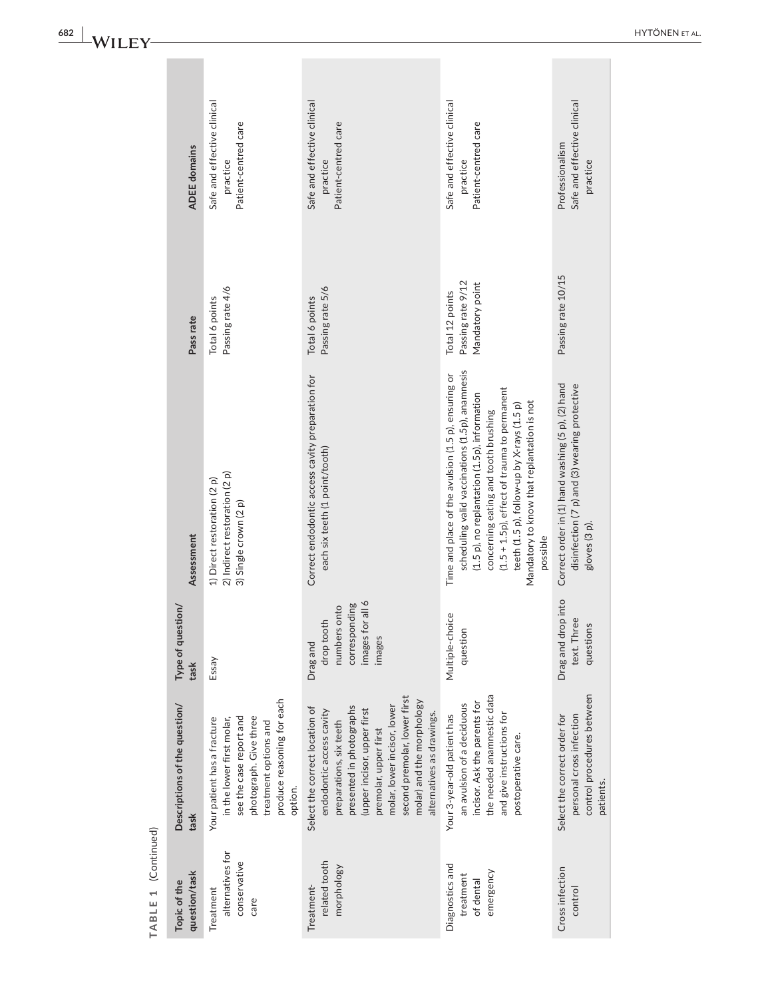|                     | <b>ADEE</b> domains                   | Safe and effective clinical<br>Patient-centred care<br>practice                                                                                                                 | Safe and effective clinical<br>Patient-centred care<br>practice                                                                                                                                                                                                                                    | Safe and effective clinical<br>Patient-centred care<br>practice                                                                                                                                                                                                                                                                                       | Safe and effective clinical<br>Professionalism<br>practice                                                         |
|---------------------|---------------------------------------|---------------------------------------------------------------------------------------------------------------------------------------------------------------------------------|----------------------------------------------------------------------------------------------------------------------------------------------------------------------------------------------------------------------------------------------------------------------------------------------------|-------------------------------------------------------------------------------------------------------------------------------------------------------------------------------------------------------------------------------------------------------------------------------------------------------------------------------------------------------|--------------------------------------------------------------------------------------------------------------------|
|                     | Pass rate                             | Passing rate 4/6<br>Total 6 points                                                                                                                                              | Passing rate 5/6<br>Total 6 points                                                                                                                                                                                                                                                                 | Passing rate 9/12<br>Mandatory point<br>Total 12 points                                                                                                                                                                                                                                                                                               | Passing rate 10/15                                                                                                 |
|                     | Assessment                            | 2) Indirect restoration (2 p)<br>1) Direct restoration (2 p)<br>3) Single crown (2 p)                                                                                           | Correct endodontic access cavity preparation for<br>each six teeth (1 point/tooth)                                                                                                                                                                                                                 | scheduling valid vaccinations (1.5p), anamnesis<br>Time and place of the avulsion (1.5 p), ensuring or<br>(1.5 + 1.5p), effect of trauma to permanent<br>(1.5 p), no replantation (1.5p), information<br>Mandatory to know that replantation is not<br>teeth (1.5 p), follow-up by X-rays (1.5 p)<br>concerning eating and tooth brushing<br>possible | Correct order in (1) hand washing (5 p), (2) hand<br>disinfection (7 p) and (3) wearing protective<br>gloves (3 p) |
|                     | Type of question/<br>task             | Essay                                                                                                                                                                           | $\frac{1}{6}$<br>corresponding<br>numbers onto<br>drop tooth<br>images for<br>images<br>Drag and                                                                                                                                                                                                   | بهِ<br>Multiple-choic<br>question                                                                                                                                                                                                                                                                                                                     | into<br>Drag and drop<br>text. Three<br>questions                                                                  |
|                     | Descriptions of the question/<br>task | produce reasoning for each<br>photograph. Give three<br>see the case report and<br>Your patient has a fracture<br>in the lower first molar,<br>treatment options and<br>option. | second premolar, lower first<br>molar) and the morphology<br>molar, lower incisor, lower<br>presented in photographs<br>Select the correct location of<br>(upper incisor, upper first<br>endodontic access cavity<br>alternatives as drawings.<br>preparations, six teeth<br>premolar, upper first | the needed anamnestic data<br>incisor. Ask the parents for<br>an avulsion of a deciduous<br>and give instructions for<br>Your 3-year-old patient has<br>postoperative care.                                                                                                                                                                           | control procedures between<br>personal cross infection<br>Select the correct order for<br>patients.                |
| TABLE 1 (Continued) | question/task<br>Topic of the         | alternatives for<br>conservative<br>Treatment<br>care                                                                                                                           | related tooth<br>morphology<br>Treatment-                                                                                                                                                                                                                                                          | Diagnostics and<br>emergency<br>treatment<br>of dental                                                                                                                                                                                                                                                                                                | Cross infection<br>control                                                                                         |

**<sup>|</sup>**  HYTÖNEN et al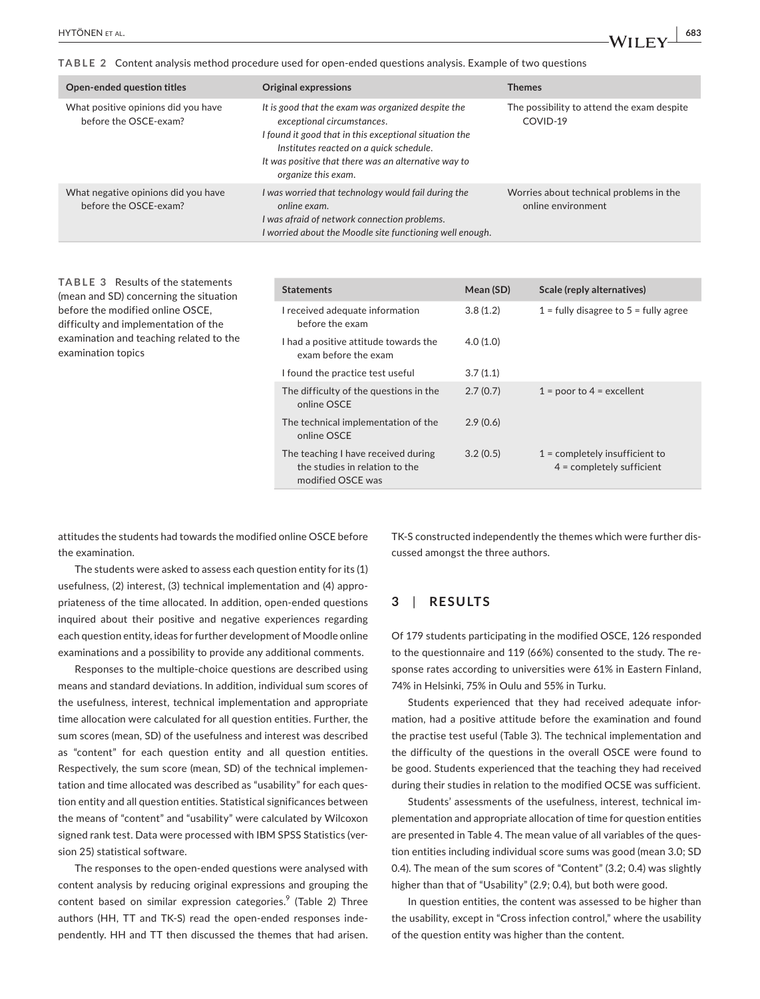**TABLE 2** Content analysis method procedure used for open-ended questions analysis. Example of two questions

| Open-ended question titles                                   | <b>Original expressions</b>                                                                                                                                                                                                                                          | <b>Themes</b>                                                 |
|--------------------------------------------------------------|----------------------------------------------------------------------------------------------------------------------------------------------------------------------------------------------------------------------------------------------------------------------|---------------------------------------------------------------|
| What positive opinions did you have<br>before the OSCE-exam? | It is good that the exam was organized despite the<br>exceptional circumstances.<br>I found it good that in this exceptional situation the<br>Institutes reacted on a quick schedule.<br>It was positive that there was an alternative way to<br>organize this exam. | The possibility to attend the exam despite<br>COVID-19        |
| What negative opinions did you have<br>before the OSCE-exam? | I was worried that technology would fail during the<br>online exam.<br>I was afraid of network connection problems.<br>I worried about the Moodle site functioning well enough.                                                                                      | Worries about technical problems in the<br>online environment |

**TABLE 3** Results of the statements (mean and SD) concerning the situation before the modified online OSCE, difficulty and implementation of the examination and teaching related to the examination topics

| <b>Statements</b>                                                                          | Mean (SD) | Scale (reply alternatives)                                      |
|--------------------------------------------------------------------------------------------|-----------|-----------------------------------------------------------------|
| I received adequate information<br>before the exam                                         | 3.8(1.2)  | $1 =$ fully disagree to $5 =$ fully agree                       |
| I had a positive attitude towards the<br>exam before the exam                              | 4.0(1.0)  |                                                                 |
| I found the practice test useful                                                           | 3.7(1.1)  |                                                                 |
| The difficulty of the questions in the<br>online OSCE                                      | 2.7(0.7)  | $1 =$ poor to $4 =$ excellent                                   |
| The technical implementation of the<br>online OSCE                                         | 2.9(0.6)  |                                                                 |
| The teaching I have received during<br>the studies in relation to the<br>modified OSCE was | 3.2(0.5)  | $1 =$ completely insufficient to<br>$4 =$ completely sufficient |

attitudes the students had towards the modified online OSCE before the examination.

The students were asked to assess each question entity for its (1) usefulness, (2) interest, (3) technical implementation and (4) appropriateness of the time allocated. In addition, open-ended questions inquired about their positive and negative experiences regarding each question entity, ideas for further development of Moodle online examinations and a possibility to provide any additional comments.

Responses to the multiple-choice questions are described using means and standard deviations. In addition, individual sum scores of the usefulness, interest, technical implementation and appropriate time allocation were calculated for all question entities. Further, the sum scores (mean, SD) of the usefulness and interest was described as "content" for each question entity and all question entities. Respectively, the sum score (mean, SD) of the technical implementation and time allocated was described as "usability" for each question entity and all question entities. Statistical significances between the means of "content" and "usability" were calculated by Wilcoxon signed rank test. Data were processed with IBM SPSS Statistics (version 25) statistical software.

The responses to the open-ended questions were analysed with content analysis by reducing original expressions and grouping the content based on similar expression categories.<sup>9</sup> (Table 2) Three authors (HH, TT and TK-S) read the open-ended responses independently. HH and TT then discussed the themes that had arisen. TK-S constructed independently the themes which were further discussed amongst the three authors.

#### **3**  | **RESULTS**

Of 179 students participating in the modified OSCE, 126 responded to the questionnaire and 119 (66%) consented to the study. The response rates according to universities were 61% in Eastern Finland, 74% in Helsinki, 75% in Oulu and 55% in Turku.

Students experienced that they had received adequate information, had a positive attitude before the examination and found the practise test useful (Table 3). The technical implementation and the difficulty of the questions in the overall OSCE were found to be good. Students experienced that the teaching they had received during their studies in relation to the modified OCSE was sufficient.

Students' assessments of the usefulness, interest, technical implementation and appropriate allocation of time for question entities are presented in Table 4. The mean value of all variables of the question entities including individual score sums was good (mean 3.0; SD 0.4). The mean of the sum scores of "Content" (3.2; 0.4) was slightly higher than that of "Usability" (2.9; 0.4), but both were good.

In question entities, the content was assessed to be higher than the usability, except in "Cross infection control," where the usability of the question entity was higher than the content.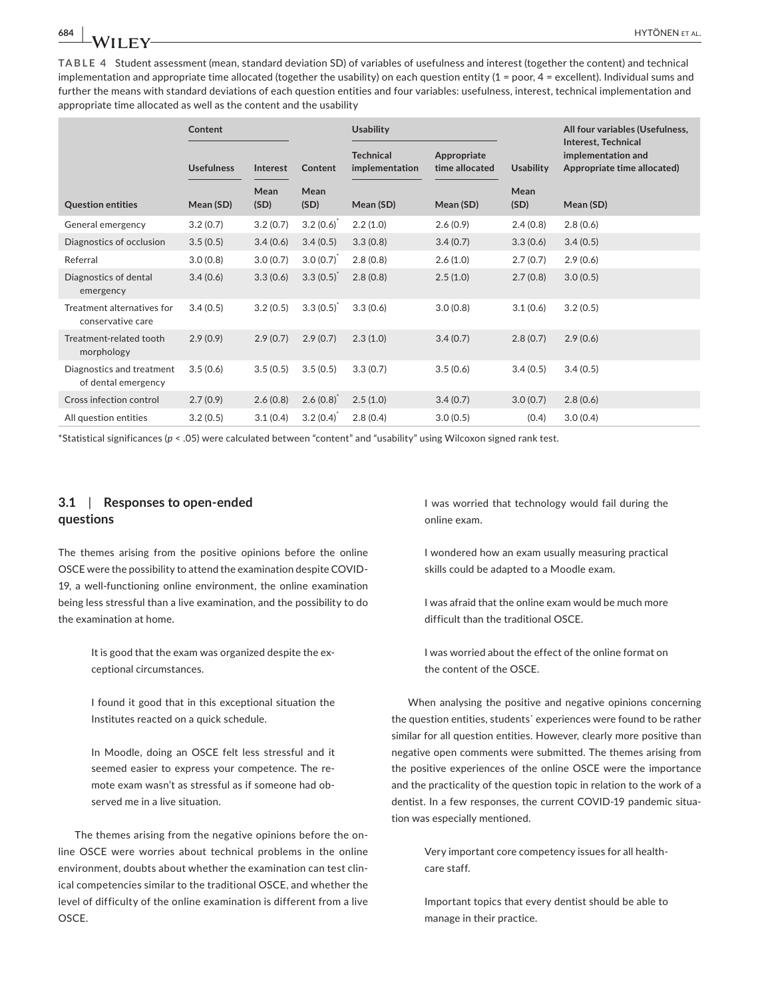**TABLE 4** Student assessment (mean, standard deviation SD) of variables of usefulness and interest (together the content) and technical implementation and appropriate time allocated (together the usability) on each question entity (1 = poor, 4 = excellent). Individual sums and further the means with standard deviations of each question entities and four variables: usefulness, interest, technical implementation and appropriate time allocated as well as the content and the usability

|                                                  | Content           |              |                       | <b>Usability</b>                   |                               |                  | All four variables (Usefulness,                                          |
|--------------------------------------------------|-------------------|--------------|-----------------------|------------------------------------|-------------------------------|------------------|--------------------------------------------------------------------------|
|                                                  | <b>Usefulness</b> | Interest     | Content               | <b>Technical</b><br>implementation | Appropriate<br>time allocated | <b>Usability</b> | Interest, Technical<br>implementation and<br>Appropriate time allocated) |
| <b>Question entities</b>                         | Mean (SD)         | Mean<br>(SD) | Mean<br>(SD)          | Mean (SD)                          | Mean (SD)                     | Mean<br>(SD)     | Mean (SD)                                                                |
| General emergency                                | 3.2(0.7)          | 3.2(0.7)     | 3.2(0.6)              | 2.2(1.0)                           | 2.6(0.9)                      | 2.4(0.8)         | 2.8(0.6)                                                                 |
| Diagnostics of occlusion                         | 3.5(0.5)          | 3.4(0.6)     | 3.4(0.5)              | 3.3(0.8)                           | 3.4(0.7)                      | 3.3(0.6)         | 3.4(0.5)                                                                 |
| Referral                                         | 3.0(0.8)          | 3.0(0.7)     | $3.0(0.7)^{1}$        | 2.8(0.8)                           | 2.6(1.0)                      | 2.7(0.7)         | 2.9(0.6)                                                                 |
| Diagnostics of dental<br>emergency               | 3.4(0.6)          | 3.3(0.6)     | 3.3(0.5)              | 2.8(0.8)                           | 2.5(1.0)                      | 2.7(0.8)         | 3.0(0.5)                                                                 |
| Treatment alternatives for<br>conservative care  | 3.4(0.5)          | 3.2(0.5)     | 3.3(0.5)              | 3.3(0.6)                           | 3.0(0.8)                      | 3.1(0.6)         | 3.2(0.5)                                                                 |
| Treatment-related tooth<br>morphology            | 2.9(0.9)          | 2.9(0.7)     | 2.9(0.7)              | 2.3(1.0)                           | 3.4(0.7)                      | 2.8(0.7)         | 2.9(0.6)                                                                 |
| Diagnostics and treatment<br>of dental emergency | 3.5(0.6)          | 3.5(0.5)     | 3.5(0.5)              | 3.3(0.7)                           | 3.5(0.6)                      | 3.4(0.5)         | 3.4(0.5)                                                                 |
| Cross infection control                          | 2.7(0.9)          | 2.6(0.8)     | 2.6(0.8)              | 2.5(1.0)                           | 3.4(0.7)                      | 3.0(0.7)         | 2.8(0.6)                                                                 |
| All question entities                            | 3.2(0.5)          | 3.1(0.4)     | $3.2(0.4)^{^{\circ}}$ | 2.8(0.4)                           | 3.0(0.5)                      | (0.4)            | 3.0(0.4)                                                                 |

\*Statistical significances (*p* < .05) were calculated between "content" and "usability" using Wilcoxon signed rank test.

#### **3.1**  | **Responses to open-ended questions**

The themes arising from the positive opinions before the online OSCE were the possibility to attend the examination despite COVID-19, a well-functioning online environment, the online examination being less stressful than a live examination, and the possibility to do the examination at home.

> It is good that the exam was organized despite the exceptional circumstances.

> I found it good that in this exceptional situation the Institutes reacted on a quick schedule.

> In Moodle, doing an OSCE felt less stressful and it seemed easier to express your competence. The remote exam wasn't as stressful as if someone had observed me in a live situation.

The themes arising from the negative opinions before the online OSCE were worries about technical problems in the online environment, doubts about whether the examination can test clinical competencies similar to the traditional OSCE, and whether the level of difficulty of the online examination is different from a live OSCE.

I was worried that technology would fail during the online exam.

I wondered how an exam usually measuring practical skills could be adapted to a Moodle exam.

I was afraid that the online exam would be much more difficult than the traditional OSCE.

I was worried about the effect of the online format on the content of the OSCE.

When analysing the positive and negative opinions concerning the question entities, students´ experiences were found to be rather similar for all question entities. However, clearly more positive than negative open comments were submitted. The themes arising from the positive experiences of the online OSCE were the importance and the practicality of the question topic in relation to the work of a dentist. In a few responses, the current COVID-19 pandemic situation was especially mentioned.

> Very important core competency issues for all healthcare staff.

> Important topics that every dentist should be able to manage in their practice.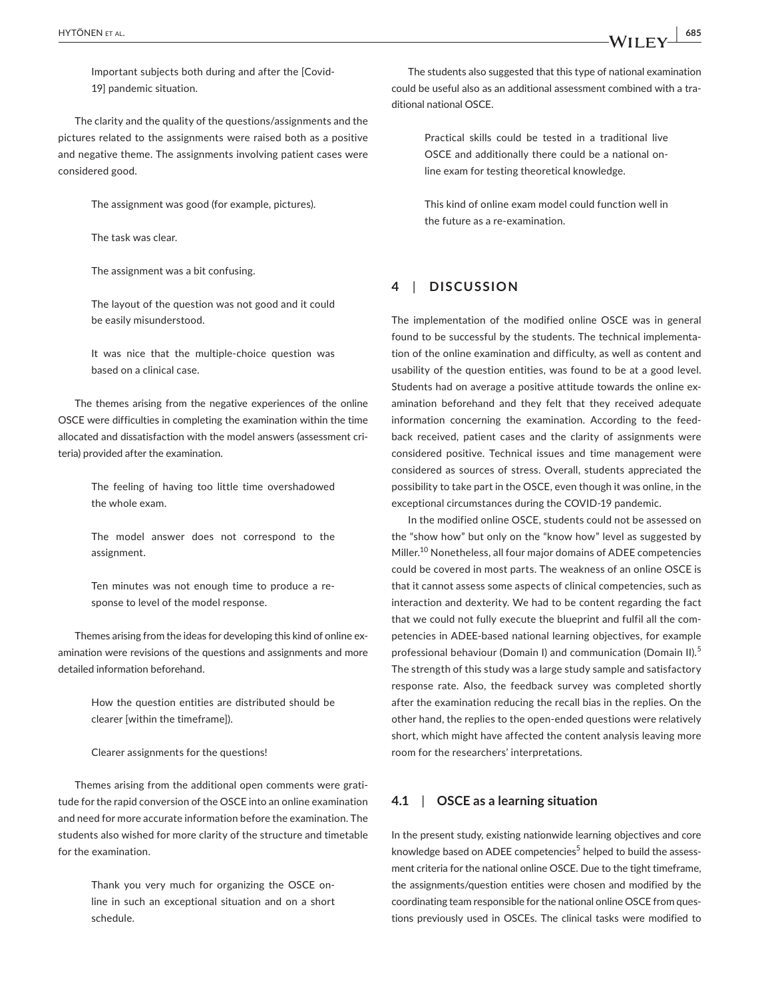Important subjects both during and after the [Covid-19] pandemic situation.

The clarity and the quality of the questions/assignments and the pictures related to the assignments were raised both as a positive and negative theme. The assignments involving patient cases were considered good.

The assignment was good (for example, pictures).

The task was clear.

The assignment was a bit confusing.

The layout of the question was not good and it could be easily misunderstood.

It was nice that the multiple-choice question was based on a clinical case.

The themes arising from the negative experiences of the online OSCE were difficulties in completing the examination within the time allocated and dissatisfaction with the model answers (assessment criteria) provided after the examination.

> The feeling of having too little time overshadowed the whole exam.

> The model answer does not correspond to the assignment.

> Ten minutes was not enough time to produce a response to level of the model response.

Themes arising from the ideas for developing this kind of online examination were revisions of the questions and assignments and more detailed information beforehand.

> How the question entities are distributed should be clearer [within the timeframe]).

Clearer assignments for the questions!

Themes arising from the additional open comments were gratitude for the rapid conversion of the OSCE into an online examination and need for more accurate information before the examination. The students also wished for more clarity of the structure and timetable for the examination.

> Thank you very much for organizing the OSCE online in such an exceptional situation and on a short schedule.

The students also suggested that this type of national examination could be useful also as an additional assessment combined with a traditional national OSCE.

> Practical skills could be tested in a traditional live OSCE and additionally there could be a national online exam for testing theoretical knowledge.

> This kind of online exam model could function well in the future as a re-examination.

#### **4**  | **DISCUSSION**

The implementation of the modified online OSCE was in general found to be successful by the students. The technical implementation of the online examination and difficulty, as well as content and usability of the question entities, was found to be at a good level. Students had on average a positive attitude towards the online examination beforehand and they felt that they received adequate information concerning the examination. According to the feedback received, patient cases and the clarity of assignments were considered positive. Technical issues and time management were considered as sources of stress. Overall, students appreciated the possibility to take part in the OSCE, even though it was online, in the exceptional circumstances during the COVID-19 pandemic.

In the modified online OSCE, students could not be assessed on the "show how" but only on the "know how" level as suggested by Miller.<sup>10</sup> Nonetheless, all four major domains of ADEE competencies could be covered in most parts. The weakness of an online OSCE is that it cannot assess some aspects of clinical competencies, such as interaction and dexterity. We had to be content regarding the fact that we could not fully execute the blueprint and fulfil all the competencies in ADEE-based national learning objectives, for example professional behaviour (Domain I) and communication (Domain II).<sup>5</sup> The strength of this study was a large study sample and satisfactory response rate. Also, the feedback survey was completed shortly after the examination reducing the recall bias in the replies. On the other hand, the replies to the open-ended questions were relatively short, which might have affected the content analysis leaving more room for the researchers' interpretations.

#### **4.1**  | **OSCE as a learning situation**

In the present study, existing nationwide learning objectives and core knowledge based on ADEE competencies<sup>5</sup> helped to build the assessment criteria for the national online OSCE. Due to the tight timeframe, the assignments/question entities were chosen and modified by the coordinating team responsible for the national online OSCE from questions previously used in OSCEs. The clinical tasks were modified to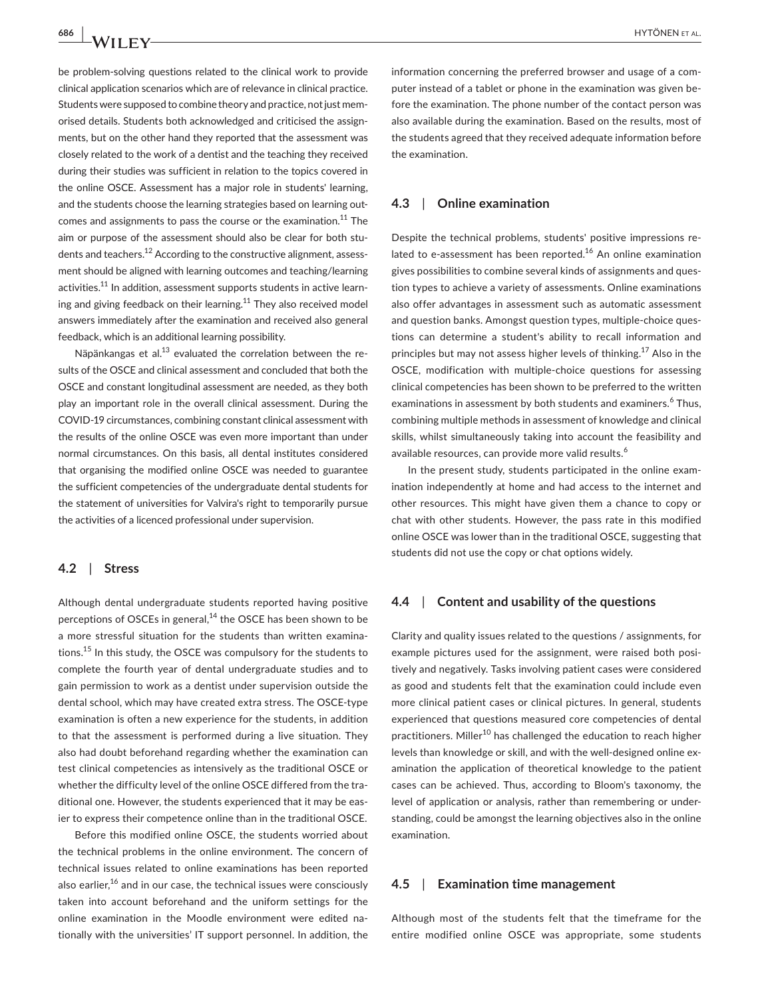be problem-solving questions related to the clinical work to provide clinical application scenarios which are of relevance in clinical practice. Students were supposed to combine theory and practice, not just memorised details. Students both acknowledged and criticised the assignments, but on the other hand they reported that the assessment was closely related to the work of a dentist and the teaching they received during their studies was sufficient in relation to the topics covered in the online OSCE. Assessment has a major role in students' learning, and the students choose the learning strategies based on learning outcomes and assignments to pass the course or the examination.<sup>11</sup> The aim or purpose of the assessment should also be clear for both students and teachers.<sup>12</sup> According to the constructive alignment, assessment should be aligned with learning outcomes and teaching/learning activities.<sup>11</sup> In addition, assessment supports students in active learning and giving feedback on their learning. $11$  They also received model answers immediately after the examination and received also general feedback, which is an additional learning possibility.

Näpänkangas et al. $^{13}$  evaluated the correlation between the results of the OSCE and clinical assessment and concluded that both the OSCE and constant longitudinal assessment are needed, as they both play an important role in the overall clinical assessment. During the COVID-19 circumstances, combining constant clinical assessment with the results of the online OSCE was even more important than under normal circumstances. On this basis, all dental institutes considered that organising the modified online OSCE was needed to guarantee the sufficient competencies of the undergraduate dental students for the statement of universities for Valvira's right to temporarily pursue the activities of a licenced professional under supervision.

#### **4.2**  | **Stress**

Although dental undergraduate students reported having positive perceptions of OSCEs in general, $^{14}$  the OSCE has been shown to be a more stressful situation for the students than written examinations.<sup>15</sup> In this study, the OSCE was compulsory for the students to complete the fourth year of dental undergraduate studies and to gain permission to work as a dentist under supervision outside the dental school, which may have created extra stress. The OSCE-type examination is often a new experience for the students, in addition to that the assessment is performed during a live situation. They also had doubt beforehand regarding whether the examination can test clinical competencies as intensively as the traditional OSCE or whether the difficulty level of the online OSCE differed from the traditional one. However, the students experienced that it may be easier to express their competence online than in the traditional OSCE.

Before this modified online OSCE, the students worried about the technical problems in the online environment. The concern of technical issues related to online examinations has been reported also earlier, $16$  and in our case, the technical issues were consciously taken into account beforehand and the uniform settings for the online examination in the Moodle environment were edited nationally with the universities' IT support personnel. In addition, the information concerning the preferred browser and usage of a computer instead of a tablet or phone in the examination was given before the examination. The phone number of the contact person was also available during the examination. Based on the results, most of the students agreed that they received adequate information before the examination.

#### **4.3**  | **Online examination**

Despite the technical problems, students' positive impressions related to e-assessment has been reported.<sup>16</sup> An online examination gives possibilities to combine several kinds of assignments and question types to achieve a variety of assessments. Online examinations also offer advantages in assessment such as automatic assessment and question banks. Amongst question types, multiple-choice questions can determine a student's ability to recall information and principles but may not assess higher levels of thinking.<sup>17</sup> Also in the OSCE, modification with multiple-choice questions for assessing clinical competencies has been shown to be preferred to the written examinations in assessment by both students and examiners.<sup>6</sup> Thus, combining multiple methods in assessment of knowledge and clinical skills, whilst simultaneously taking into account the feasibility and available resources, can provide more valid results.<sup>6</sup>

In the present study, students participated in the online examination independently at home and had access to the internet and other resources. This might have given them a chance to copy or chat with other students. However, the pass rate in this modified online OSCE was lower than in the traditional OSCE, suggesting that students did not use the copy or chat options widely.

#### **4.4**  | **Content and usability of the questions**

Clarity and quality issues related to the questions / assignments, for example pictures used for the assignment, were raised both positively and negatively. Tasks involving patient cases were considered as good and students felt that the examination could include even more clinical patient cases or clinical pictures. In general, students experienced that questions measured core competencies of dental practitioners. Miller<sup>10</sup> has challenged the education to reach higher levels than knowledge or skill, and with the well-designed online examination the application of theoretical knowledge to the patient cases can be achieved. Thus, according to Bloom's taxonomy, the level of application or analysis, rather than remembering or understanding, could be amongst the learning objectives also in the online examination.

#### **4.5**  | **Examination time management**

Although most of the students felt that the timeframe for the entire modified online OSCE was appropriate, some students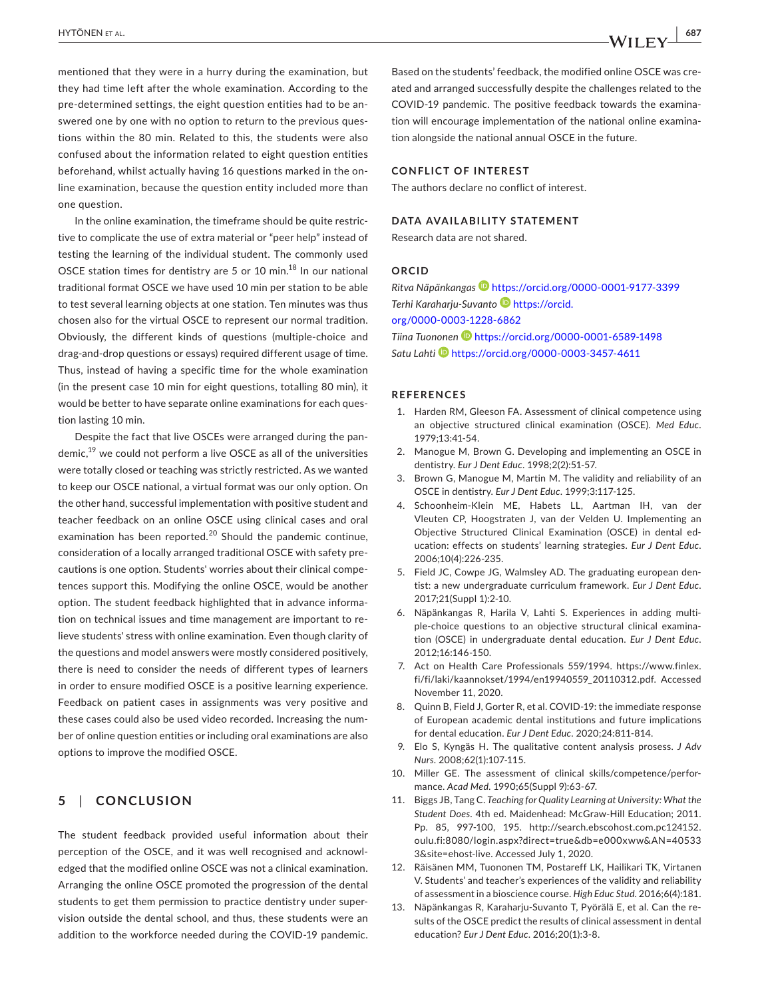mentioned that they were in a hurry during the examination, but they had time left after the whole examination. According to the pre-determined settings, the eight question entities had to be answered one by one with no option to return to the previous questions within the 80 min. Related to this, the students were also confused about the information related to eight question entities beforehand, whilst actually having 16 questions marked in the online examination, because the question entity included more than one question.

In the online examination, the timeframe should be quite restrictive to complicate the use of extra material or "peer help" instead of testing the learning of the individual student. The commonly used OSCE station times for dentistry are 5 or 10 min.<sup>18</sup> In our national traditional format OSCE we have used 10 min per station to be able to test several learning objects at one station. Ten minutes was thus chosen also for the virtual OSCE to represent our normal tradition. Obviously, the different kinds of questions (multiple-choice and drag-and-drop questions or essays) required different usage of time. Thus, instead of having a specific time for the whole examination (in the present case 10 min for eight questions, totalling 80 min), it would be better to have separate online examinations for each question lasting 10 min.

Despite the fact that live OSCEs were arranged during the pandemic, $19$  we could not perform a live OSCE as all of the universities were totally closed or teaching was strictly restricted. As we wanted to keep our OSCE national, a virtual format was our only option. On the other hand, successful implementation with positive student and teacher feedback on an online OSCE using clinical cases and oral examination has been reported.<sup>20</sup> Should the pandemic continue, consideration of a locally arranged traditional OSCE with safety precautions is one option. Students' worries about their clinical competences support this. Modifying the online OSCE, would be another option. The student feedback highlighted that in advance information on technical issues and time management are important to relieve students' stress with online examination. Even though clarity of the questions and model answers were mostly considered positively, there is need to consider the needs of different types of learners in order to ensure modified OSCE is a positive learning experience. Feedback on patient cases in assignments was very positive and these cases could also be used video recorded. Increasing the number of online question entities or including oral examinations are also options to improve the modified OSCE.

#### **5**  | **CONCLUSION**

The student feedback provided useful information about their perception of the OSCE, and it was well recognised and acknowledged that the modified online OSCE was not a clinical examination. Arranging the online OSCE promoted the progression of the dental students to get them permission to practice dentistry under supervision outside the dental school, and thus, these students were an addition to the workforce needed during the COVID-19 pandemic.

Based on the students' feedback, the modified online OSCE was created and arranged successfully despite the challenges related to the COVID-19 pandemic. The positive feedback towards the examination will encourage implementation of the national online examination alongside the national annual OSCE in the future.

#### **CONFLICT OF INTEREST**

The authors declare no conflict of interest.

#### **DATA AVAILABILITY STATEMENT**

Research data are not shared.

#### **ORCID**

*Ritva Näpänkangas* <https://orcid.org/0000-0001-9177-3399> *Terhi Karaharju-Suvanto* [https://orcid.](https://orcid.org/0000-0003-1228-6862) [org/0000-0003-1228-6862](https://orcid.org/0000-0003-1228-6862) *Tiina Tuonone[n](https://orcid.org/0000-0001-6589-1498)* <https://orcid.org/0000-0001-6589-1498> *Satu Laht[i](https://orcid.org/0000-0003-3457-4611)* <https://orcid.org/0000-0003-3457-4611>

#### **REFERENCES**

- 1. Harden RM, Gleeson FA. Assessment of clinical competence using an objective structured clinical examination (OSCE). *Med Educ*. 1979;13:41-54.
- 2. Manogue M, Brown G. Developing and implementing an OSCE in dentistry. *Eur J Dent Educ*. 1998;2(2):51-57.
- 3. Brown G, Manogue M, Martin M. The validity and reliability of an OSCE in dentistry. *Eur J Dent Educ*. 1999;3:117-125.
- 4. Schoonheim-Klein ME, Habets LL, Aartman IH, van der Vleuten CP, Hoogstraten J, van der Velden U. Implementing an Objective Structured Clinical Examination (OSCE) in dental education: effects on students' learning strategies. *Eur J Dent Educ*. 2006;10(4):226-235.
- 5. Field JC, Cowpe JG, Walmsley AD. The graduating european dentist: a new undergraduate curriculum framework. *Eur J Dent Educ*. 2017;21(Suppl 1):2-10.
- 6. Näpänkangas R, Harila V, Lahti S. Experiences in adding multiple-choice questions to an objective structural clinical examination (OSCE) in undergraduate dental education. *Eur J Dent Educ*. 2012;16:146-150.
- 7. Act on Health Care Professionals 559/1994. [https://www.finlex.](http://www.finlex.fi/fi/laki/kaannokset/1994/en19940559_20110312.pdf) [fi/fi/laki/kaannokset/1994/en19940559\\_20110312.pdf.](http://www.finlex.fi/fi/laki/kaannokset/1994/en19940559_20110312.pdf) Accessed November 11, 2020.
- 8. Quinn B, Field J, Gorter R, et al. COVID-19: the immediate response of European academic dental institutions and future implications for dental education. *Eur J Dent Educ*. 2020;24:811-814.
- 9. Elo S, Kyngäs H. The qualitative content analysis prosess. *J Adv Nurs*. 2008;62(1):107-115.
- 10. Miller GE. The assessment of clinical skills/competence/performance. *Acad Med*. 1990;65(Suppl 9):63-67.
- 11. Biggs JB, Tang C. *Teaching for Quality Learning at University: What the Student Does*. 4th ed. Maidenhead: McGraw-Hill Education; 2011. Pp. 85, 997-100, 195. [http://search.ebscohost.com.pc124152.](http://search.ebscohost.com.pc124152.oulu.fi:8080/login.aspx?direct=true&db=e000xww&AN=405333&site=ehost-live) [oulu.fi:8080/login.aspx?direct=true&db=e000xww&AN=40533](http://search.ebscohost.com.pc124152.oulu.fi:8080/login.aspx?direct=true&db=e000xww&AN=405333&site=ehost-live) [3&site=ehost-live.](http://search.ebscohost.com.pc124152.oulu.fi:8080/login.aspx?direct=true&db=e000xww&AN=405333&site=ehost-live) Accessed July 1, 2020.
- 12. Räisänen MM, Tuononen TM, Postareff LK, Hailikari TK, Virtanen V. Students' and teacher's experiences of the validity and reliability of assessment in a bioscience course. *High Educ Stud*. 2016;6(4):181.
- 13. Näpänkangas R, Karaharju-Suvanto T, Pyörälä E, et al. Can the results of the OSCE predict the results of clinical assessment in dental education? *Eur J Dent Educ*. 2016;20(1):3-8.